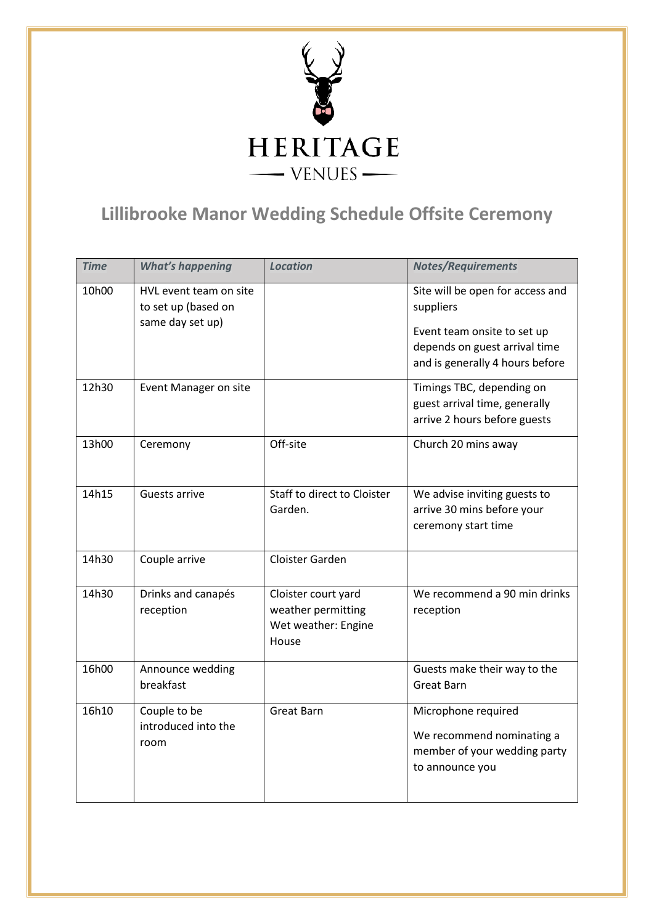

## **Lillibrooke Manor Wedding Schedule Offsite Ceremony**

| <b>Time</b> | <b>What's happening</b>                                           | <b>Location</b>                                                           | <b>Notes/Requirements</b>                                                                                                                        |
|-------------|-------------------------------------------------------------------|---------------------------------------------------------------------------|--------------------------------------------------------------------------------------------------------------------------------------------------|
| 10h00       | HVL event team on site<br>to set up (based on<br>same day set up) |                                                                           | Site will be open for access and<br>suppliers<br>Event team onsite to set up<br>depends on guest arrival time<br>and is generally 4 hours before |
| 12h30       | Event Manager on site                                             |                                                                           | Timings TBC, depending on<br>guest arrival time, generally<br>arrive 2 hours before guests                                                       |
| 13h00       | Ceremony                                                          | Off-site                                                                  | Church 20 mins away                                                                                                                              |
| 14h15       | Guests arrive                                                     | Staff to direct to Cloister<br>Garden.                                    | We advise inviting guests to<br>arrive 30 mins before your<br>ceremony start time                                                                |
| 14h30       | Couple arrive                                                     | Cloister Garden                                                           |                                                                                                                                                  |
| 14h30       | Drinks and canapés<br>reception                                   | Cloister court yard<br>weather permitting<br>Wet weather: Engine<br>House | We recommend a 90 min drinks<br>reception                                                                                                        |
| 16h00       | Announce wedding<br>breakfast                                     |                                                                           | Guests make their way to the<br><b>Great Barn</b>                                                                                                |
| 16h10       | Couple to be<br>introduced into the<br>room                       | Great Barn                                                                | Microphone required<br>We recommend nominating a<br>member of your wedding party<br>to announce you                                              |